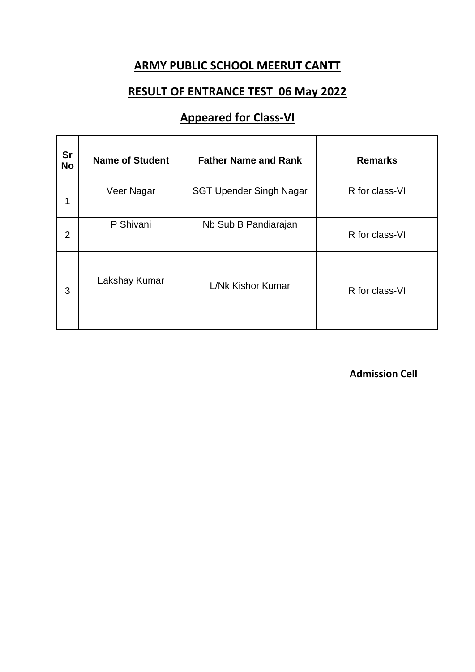### **RESULT OF ENTRANCE TEST 06 May 2022**

# **Appeared for Class-VI**

| <b>Sr</b><br><b>No</b> | <b>Name of Student</b> | <b>Father Name and Rank</b>    | <b>Remarks</b> |
|------------------------|------------------------|--------------------------------|----------------|
| 1                      | Veer Nagar             | <b>SGT Upender Singh Nagar</b> | R for class-VI |
| $\overline{2}$         | P Shivani              | Nb Sub B Pandiarajan           | R for class-VI |
| 3                      | Lakshay Kumar          | L/Nk Kishor Kumar              | R for class-VI |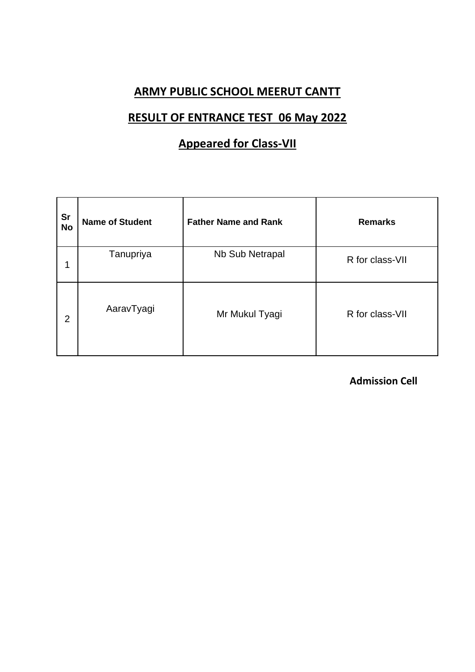## **RESULT OF ENTRANCE TEST 06 May 2022**

# **Appeared for Class-VII**

| <b>Sr</b><br><b>No</b> | <b>Name of Student</b> | <b>Father Name and Rank</b> | <b>Remarks</b>  |
|------------------------|------------------------|-----------------------------|-----------------|
| ◢                      | Tanupriya              | Nb Sub Netrapal             | R for class-VII |
| $\overline{2}$         | AaravTyagi             | Mr Mukul Tyagi              | R for class-VII |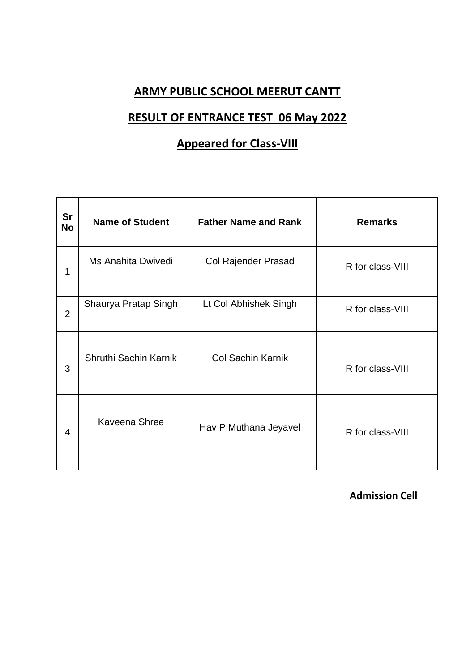## **RESULT OF ENTRANCE TEST 06 May 2022**

# **Appeared for Class-VIII**

| <b>Sr</b><br><b>No</b> | <b>Name of Student</b> | <b>Father Name and Rank</b> | <b>Remarks</b>   |
|------------------------|------------------------|-----------------------------|------------------|
| 1                      | Ms Anahita Dwivedi     | Col Rajender Prasad         | R for class-VIII |
| $\overline{2}$         | Shaurya Pratap Singh   | Lt Col Abhishek Singh       | R for class-VIII |
| 3                      | Shruthi Sachin Karnik  | <b>Col Sachin Karnik</b>    | R for class-VIII |
| 4                      | Kaveena Shree          | Hav P Muthana Jeyavel       | R for class-VIII |